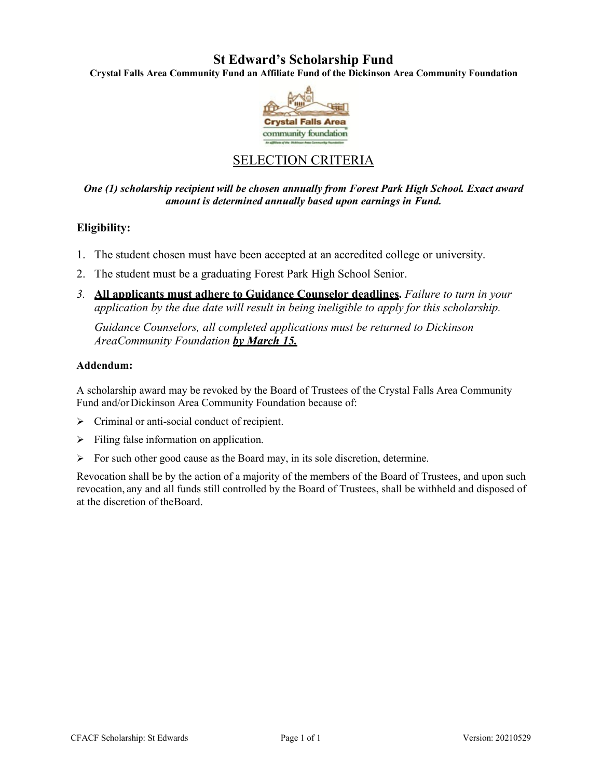## **St Edward's Scholarship Fund**

**Crystal Falls Area Community Fund an Affiliate Fund of the Dickinson Area Community Foundation** 



## SELECTION CRITERIA

*One (1) scholarship recipient will be chosen annually from Forest Park High School. Exact award amount is determined annually based upon earnings in Fund.* 

### **Eligibility:**

- 1. The student chosen must have been accepted at an accredited college or university.
- 2. The student must be a graduating Forest Park High School Senior.
- *3.* **All applicants must adhere to Guidance Counselor deadlines.** *Failure to turn in your application by the due date will result in being ineligible to apply for this scholarship.*

*Guidance Counselors, all completed applications must be returned to Dickinson Area Community Foundation by March 15.*

### **Addendum:**

A scholarship award may be revoked by the Board of Trustees of the Crystal Falls Area Community Fund and/or Dickinson Area Community Foundation because of:

- $\triangleright$  Criminal or anti-social conduct of recipient.
- $\triangleright$  Filing false information on application.
- $\triangleright$  For such other good cause as the Board may, in its sole discretion, determine.

Revocation shall be by the action of a majority of the members of the Board of Trustees, and upon such revocation, any and all funds still controlled by the Board of Trustees, shall be withheld and disposed of at the discretion of the Board.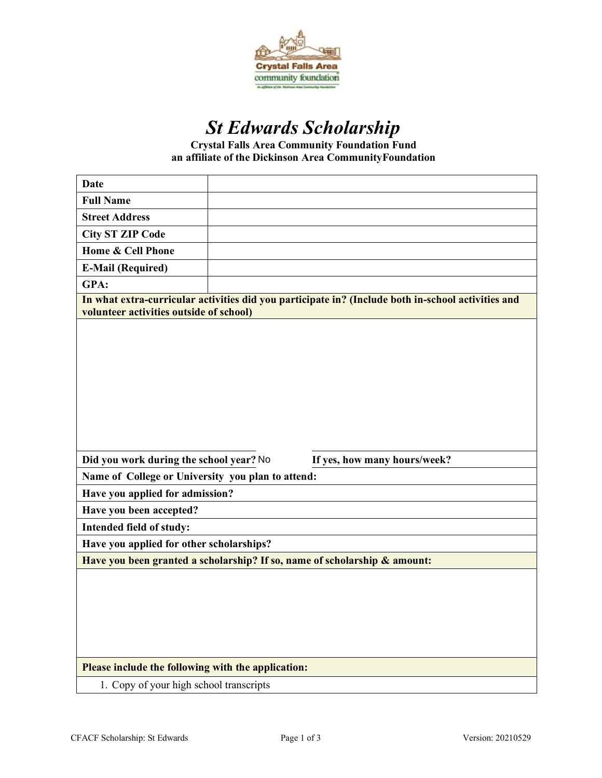

# *St Edwards Scholarship*

**Crystal Falls Area Community Foundation Fund an affiliate of the Dickinson Area CommunityFoundation**

| <b>Date</b>                                                                                                                                   |  |
|-----------------------------------------------------------------------------------------------------------------------------------------------|--|
| <b>Full Name</b>                                                                                                                              |  |
| <b>Street Address</b>                                                                                                                         |  |
| <b>City ST ZIP Code</b>                                                                                                                       |  |
| <b>Home &amp; Cell Phone</b>                                                                                                                  |  |
| <b>E-Mail (Required)</b>                                                                                                                      |  |
| GPA:                                                                                                                                          |  |
| In what extra-curricular activities did you participate in? (Include both in-school activities and<br>volunteer activities outside of school) |  |
|                                                                                                                                               |  |
| Did you work during the school year? No<br>If yes, how many hours/week?                                                                       |  |
| Name of College or University you plan to attend:                                                                                             |  |
| Have you applied for admission?                                                                                                               |  |
| Have you been accepted?                                                                                                                       |  |
| Intended field of study:                                                                                                                      |  |
| Have you applied for other scholarships?                                                                                                      |  |
| Have you been granted a scholarship? If so, name of scholarship & amount:                                                                     |  |
|                                                                                                                                               |  |
| Please include the following with the application:                                                                                            |  |
|                                                                                                                                               |  |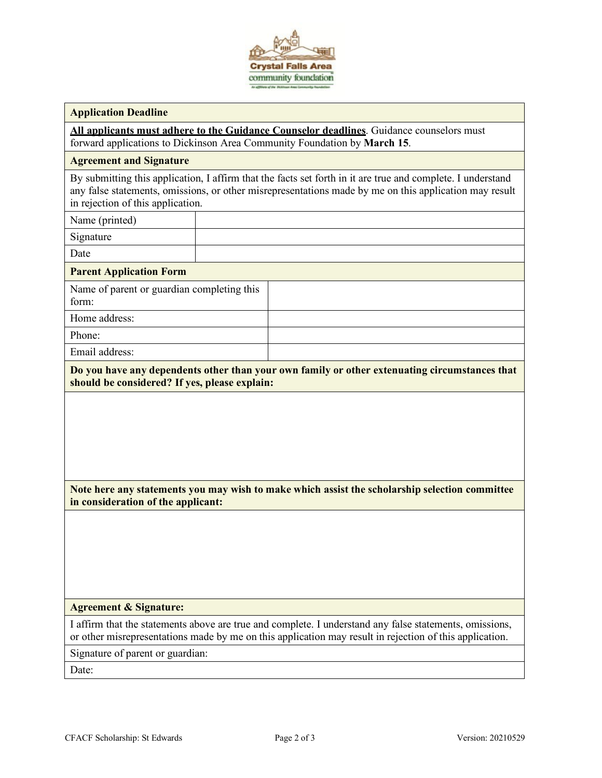

### **Application Deadline**

**All applicants must adhere to the Guidance Counselor deadlines**. Guidance counselors must forward applications to Dickinson Area Community Foundation by **March 15**.

### **Agreement and Signature**

By submitting this application, I affirm that the facts set forth in it are true and complete. I understand any false statements, omissions, or other misrepresentations made by me on this application may result in rejection of this application.

Name (printed)

Signature

Date

**Parent Application Form**

| Name of parent or guardian completing this<br>form: |
|-----------------------------------------------------|
| Home address:                                       |

Phone:

Email address:

**Do you have any dependents other than your own family or other extenuating circumstances that should be considered? If yes, please explain:**

**Note here any statements you may wish to make which assist the scholarship selection committee in consideration of the applicant:**

### **Agreement & Signature:**

I affirm that the statements above are true and complete. I understand any false statements, omissions, or other misrepresentations made by me on this application may result in rejection of this application.

Signature of parent or guardian:

Date: